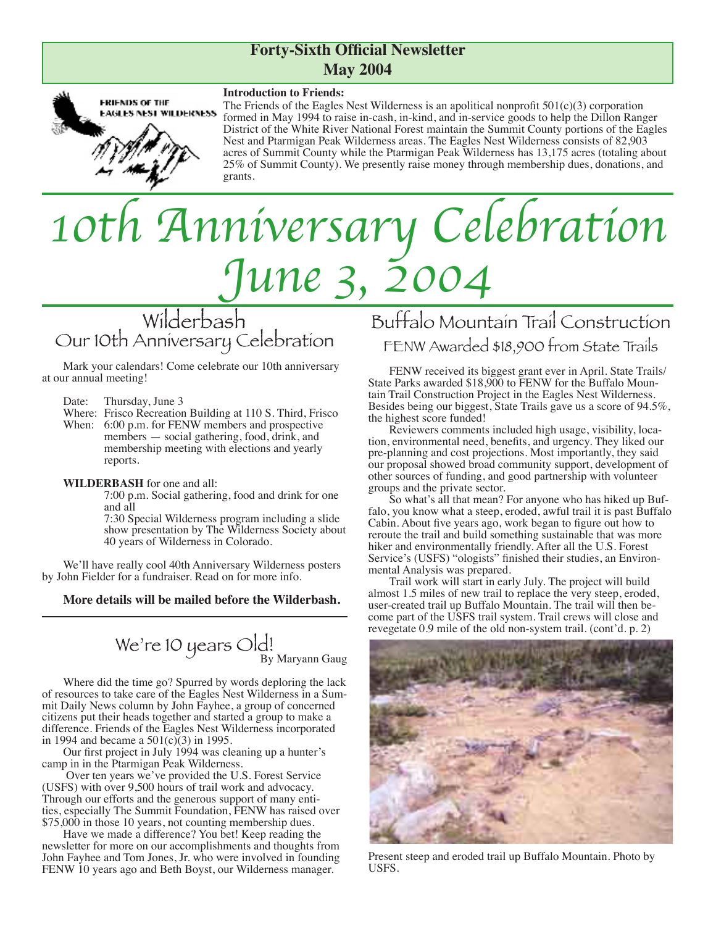# **Forty-Sixth Official Newsletter May 2004**



### **Introduction to Friends:**

The Friends of the Eagles Nest Wilderness is an apolitical nonprofit  $501(c)(3)$  corporation formed in May 1994 to raise in-cash, in-kind, and in-service goods to help the Dillon Ranger District of the White River National Forest maintain the Summit County portions of the Eagles Nest and Ptarmigan Peak Wilderness areas. The Eagles Nest Wilderness consists of 82,903 acres of Summit County while the Ptarmigan Peak Wilderness has 13,175 acres (totaling about 25% of Summit County). We presently raise money through membership dues, donations, and grants.

# *10th Anniversary Celebration June 3, 200*

Wilderbash Our 10th Anniversary Celebration

Mark your calendars! Come celebrate our 10th anniversary at our annual meeting!

Date: Thursday, June 3

Where: Frisco Recreation Building at 110 S. Third, Frisco When: 6:00 p.m. for FENW members and prospective members — social gathering, food, drink, and membership meeting with elections and yearly reports.

**WILDERBASH** for one and all:

7:00 p.m. Social gathering, food and drink for one and all

7:30 Special Wilderness program including a slide show presentation by The Wilderness Society about 40 years of Wilderness in Colorado.

We'll have really cool 40th Anniversary Wilderness posters by John Fielder for a fundraiser. Read on for more info.

### **More details will be mailed before the Wilderbash.**

We're 10 years  $\bigcirc$   $\bigcirc$   $\bigcirc$ <sup>1</sup> By Maryann Gaug

Where did the time go? Spurred by words deploring the lack<br>of resources to take care of the Eagles Nest Wilderness in a Summit Daily News column by John Fayhee, a group of concerned citizens put their heads together and started a group to make a difference. Friends of the Eagles Nest Wilderness incorporated in 1994 and became a  $501(c)(3)$  in 1995.

Our first project in July 1994 was cleaning up a hunter's camp in in the Ptarmigan Peak Wilderness.

 Over ten years we've provided the U.S. Forest Service (USFS) with over 9,500 hours of trail work and advocacy. Through our efforts and the generous support of many entities, especially The Summit Foundation, FENW has raised over \$75,000 in those 10 years, not counting membership dues.

Have we made a difference? You bet! Keep reading the newsletter for more on our accomplishments and thoughts from John Fayhee and Tom Jones, Jr. who were involved in founding FENW 10 years ago and Beth Boyst, our Wilderness manager.

# Buffalo Mountain Trail Construction FENW Awarded \$18,900 from State Trails

FENW received its biggest grant ever in April. State Trails/ State Parks awarded \$18,900 to FENW for the Buffalo Moun- tain Trail Construction Project in the Eagles Nest Wilderness. Besides being our biggest, State Trails gave us a score of 94.5%, the highest score funded!<br>Reviewers comments included high usage, visibility, loca-

tion, environmental need, benefits, and urgency. They liked our pre-planning and cost projections. Most importantly, they said our proposal showed broad community support, development of other sources of funding, and good partnership with volunteer groups and the private sector.

So what's all that mean? For anyone who has hiked up Buffalo, you know what a steep, eroded, awful trail it is past Buffalo Cabin. About five years ago, work began to figure out how to reroute the trail and build something sustainable that was more hiker and environmentally friendly. After all the U.S. Forest Service's (USFS) "ologists" finished their studies, an Environmental Analysis was prepared.

Trail work will start in early July. The project will build almost 1.5 miles of new trail to replace the very steep, eroded, user-created trail up Buffalo Mountain. The trail will then become part of the USFS trail system. Trail crews will close and revegetate 0.9 mile of the old non-system trail. (cont'd. p. 2)



Present steep and eroded trail up Buffalo Mountain. Photo by USFS.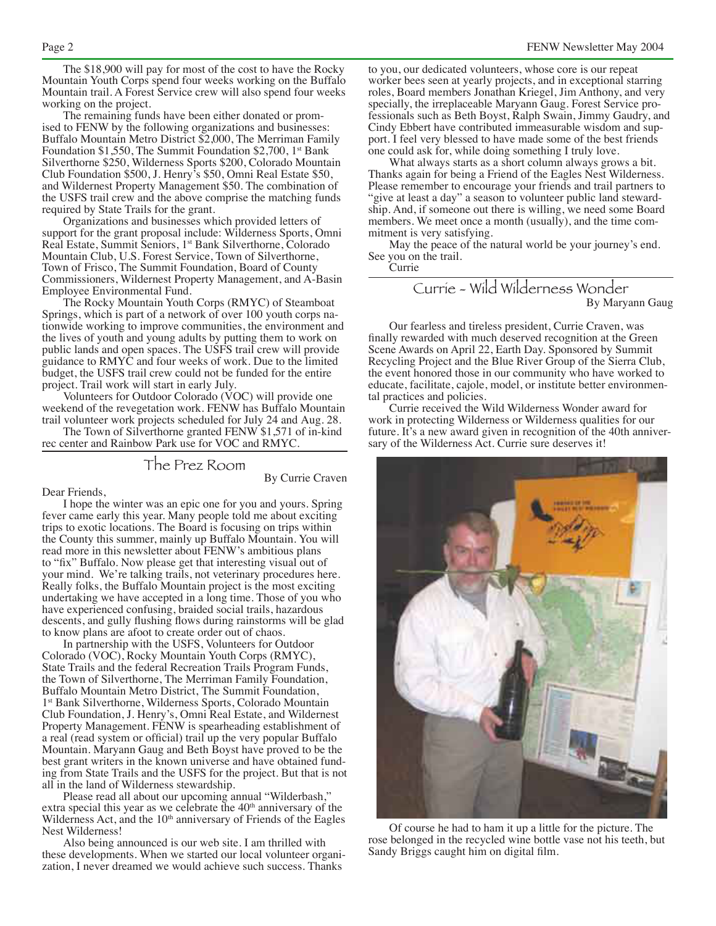The \$18,900 will pay for most of the cost to have the Rocky Mountain Youth Corps spend four weeks working on the Buffalo Mountain trail. A Forest Service crew will also spend four weeks working on the project.<br>The remaining funds have been either donated or prom-

ised to FENW by the following organizations and businesses: Buffalo Mountain Metro District \$2,000, The Merriman Family Foundation \$1,550, The Summit Foundation \$2,700, 1<sup>st</sup> Bank Silverthorne \$250, Wilderness Sports \$200, Colorado Mountain Club Foundation \$500, J. Henry's \$50, Omni Real Estate \$50, and Wildernest Property Management \$50. The combination of the USFS trail crew and the above comprise the matching funds required by State Trails for the grant.

Organizations and businesses which provided letters of support for the grant proposal include: Wilderness Sports, Omni Real Estate, Summit Seniors, 1st Bank Silverthorne, Colorado Mountain Club, U.S. Forest Service, Town of Silverthorne, Town of Frisco, The Summit Foundation, Board of County Commissioners, Wildernest Property Management, and A-Basin Employee Environmental Fund.

The Rocky Mountain Youth Corps (RMYC) of Steamboat Springs, which is part of a network of over 100 youth corps na- tionwide working to improve communities, the environment and the lives of youth and young adults by putting them to work on public lands and open spaces. The USFS trail crew will provide guidance to RMYC and four weeks of work. Due to the limited budget, the USFS trail crew could not be funded for the entire project. Trail work will start in early July.

Volunteers for Outdoor Colorado (VOC) will provide one weekend of the revegetation work. FENW has Buffalo Mountain trail volunteer work projects scheduled for July 24 and Aug. 28.

The Town of Silverthorne granted FENW \$1,571 of in-kind rec center and Rainbow Park use for VOC and RMYC.

# The Prez Room

By Currie Craven

Dear Friends,

I hope the winter was an epic one for you and yours. Spring fever came early this year. Many people told me about exciting trips to exotic locations. The Board is focusing on trips within the County this summer, mainly up Buffalo Mountain. You will read more in this newsletter about FENW's ambitious plans to "fix" Buffalo. Now please get that interesting visual out of your mind. We're talking trails, not veterinary procedures here. Really folks, the Buffalo Mountain project is the most exciting undertaking we have accepted in a long time. Those of you who have experienced confusing, braided social trails, hazardous descents, and gully flushing flows during rainstorms will be glad to know plans are afoot to create order out of chaos.

In partnership with the USFS, Volunteers for Outdoor Colorado (VOC), Rocky Mountain Youth Corps (RMYC), State Trails and the federal Recreation Trails Program Funds, the Town of Silverthorne, The Merriman Family Foundation, Buffalo Mountain Metro District, The Summit Foundation, 1st Bank Silverthorne, Wilderness Sports, Colorado Mountain Club Foundation, J. Henry's, Omni Real Estate, and Wildernest Property Management. FENW is spearheading establishment of a real (read system or official) trail up the very popular Buffalo Mountain. Maryann Gaug and Beth Boyst have proved to be the best grant writers in the known universe and have obtained funding from State Trails and the USFS for the project. But that is not all in the land of Wilderness stewardship.

Please read all about our upcoming annual "Wilderbash," extra special this year as we celebrate the 40<sup>th</sup> anniversary of the Wilderness Act, and the 10<sup>th</sup> anniversary of Friends of the Eagles Nest Wilderness!

Also being announced is our web site. I am thrilled with these developments. When we started our local volunteer organization, I never dreamed we would achieve such success. Thanks

to you, our dedicated volunteers, whose core is our repeat worker bees seen at yearly projects, and in exceptional starring roles, Board members Jonathan Kriegel, Jim Anthony, and very specially, the irreplaceable Maryann Gaug. Forest Service professionals such as Beth Boyst, Ralph Swain, Jimmy Gaudry, and Cindy Ebbert have contributed immeasurable wisdom and sup- port. I feel very blessed to have made some of the best friends one could ask for, while doing something I truly love.

 What always starts as a short column always grows a bit. Thanks again for being a Friend of the Eagles Nest Wilderness. Please remember to encourage your friends and trail partners to "give at least a day" a season to volunteer public land stewardship. And, if someone out there is willing, we need some Board members. We meet once a month (usually), and the time com-<br>mitment is very satisfying.

May the peace of the natural world be your journey's end. See you on the trail.

**Currie** 

### Currie - Wild Wilderness Wonder By Maryann Gaug

Our fearless and tireless president, Currie Craven, was finally rewarded with much deserved recognition at the Green Scene Awards on April 22, Earth Day. Sponsored by Summit Recycling Project and the Blue River Group of the Sierra Club, the event honored those in our community who have worked to educate, facilitate, cajole, model, or institute better environmen- tal practices and policies.

Currie received the Wild Wilderness Wonder award for work in protecting Wilderness or Wilderness qualities for our future. It's a new award given in recognition of the 40th anniver- sary of the Wilderness Act. Currie sure deserves it!



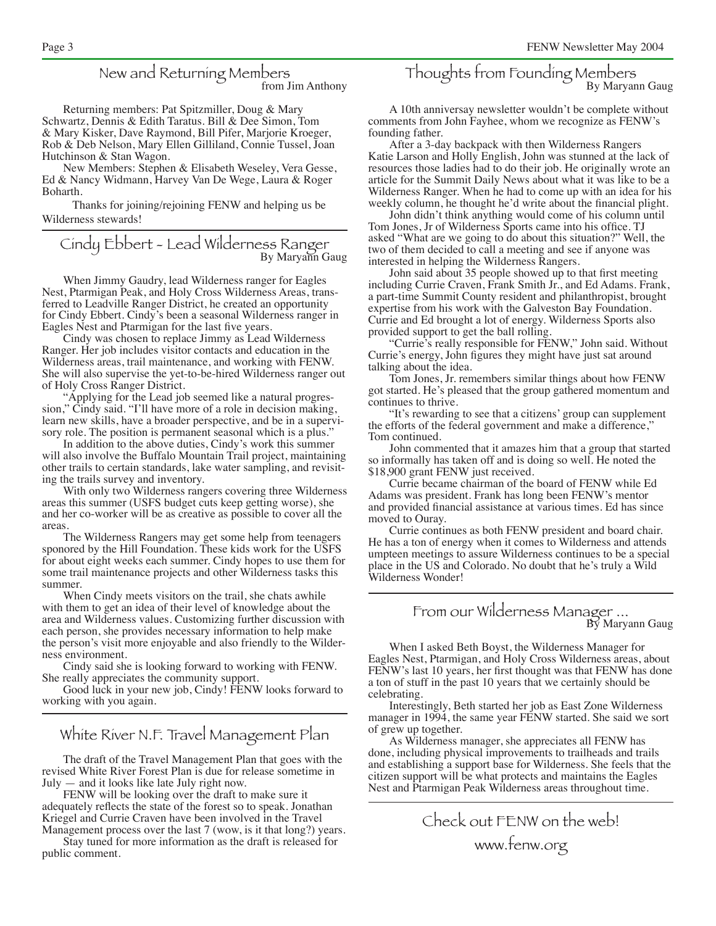# New and Returning Members<br>from Jim Anthony

Returning members: Pat Spitzmiller, Doug & Mary Schwartz, Dennis & Edith Taratus. Bill & Dee Simon, Tom & Mary Kisker, Dave Raymond, Bill Pifer, Marjorie Kroeger, Rob & Deb Nelson, Mary Ellen Gilliland, Connie Tussel, Joan Hutchinson & Stan Wagon.

New Members: Stephen & Elisabeth Weseley, Vera Gesse, Ed & Nancy Widmann, Harvey Van De Wege, Laura & Roger Boharth.

Thanks for joining/rejoining FENW and helping us be Wilderness stewards!

Cindy Ebbert - Lead Wilderness Ranger<br>By Maryann Gaug

When Jimmy Gaudry, lead Wilderness ranger for Eagles Nest, Ptarmigan Peak, and Holy Cross Wilderness Areas, transferred to Leadville Ranger District, he created an opportunity for Cindy Ebbert. Cindy's been a seasonal Wilderness ranger in Eagles Nest and Ptarmigan for the last five years.

Cindy was chosen to replace Jimmy as Lead Wilderness Ranger. Her job includes visitor contacts and education in the Wilderness areas, trail maintenance, and working with FENW. She will also supervise the yet-to-be-hired Wilderness ranger out of Holy Cross Ranger District.

"Applying for the Lead job seemed like a natural progression," Cindy said. "I'll have more of a role in decision making, learn new skills, have a broader perspective, and be in a supervisory role. The position is permanent seasonal which is a plus."

In addition to the above duties, Cindy's work this summer will also involve the Buffalo Mountain Trail project, maintaining other trails to certain standards, lake water sampling, and revisiting the trails survey and inventory.

With only two Wilderness rangers covering three Wilderness areas this summer (USFS budget cuts keep getting worse), she and her co-worker will be as creative as possible to cover all the areas

The Wilderness Rangers may get some help from teenagers sponored by the Hill Foundation. These kids work for the USFS for about eight weeks each summer. Cindy hopes to use them for some trail maintenance projects and other Wilderness tasks this summer.

When Cindy meets visitors on the trail, she chats awhile with them to get an idea of their level of knowledge about the area and Wilderness values. Customizing further discussion with each person, she provides necessary information to help make the person's visit more enjoyable and also friendly to the Wilderness environment.

Cindy said she is looking forward to working with FENW. She really appreciates the community support.

Good luck in your new job, Cindy! FENW looks forward to working with you again.

White River N.F. Travel Management Plan

The draft of the Travel Management Plan that goes with the revised White River Forest Plan is due for release sometime in July — and it looks like late July right now.

FENW will be looking over the draft to make sure it adequately reflects the state of the forest so to speak. Jonathan Kriegel and Currie Craven have been involved in the Travel Management process over the last 7 (wow, is it that long?) years.

Stay tuned for more information as the draft is released for public comment.

# Thoughts from Founding Members<br>By Maryann Gaug

A 10th anniversay newsletter wouldn't be complete without comments from John Fayhee, whom we recognize as FENW's founding father.

After a 3-day backpack with then Wilderness Rangers Katie Larson and Holly English, John was stunned at the lack of resources those ladies had to do their job. He originally wrote an article for the Summit Daily News about what it was like to be a Wilderness Ranger. When he had to come up with an idea for his weekly column, he thought he'd write about the financial plight.

John didn't think anything would come of his column until Tom Jones, Jr of Wilderness Sports came into his office. TJ asked "What are we going to do about this situation?" Well, the two of them decided to call a meeting and see if anyone was interested in helping the Wilderness Rangers.

John said about 35 people showed up to that first meeting including Currie Craven, Frank Smith Jr., and Ed Adams. Frank, a part-time Summit County resident and philanthropist, brought expertise from his work with the Galveston Bay Foundation. Currie and Ed brought a lot of energy. Wilderness Sports also provided support to get the ball rolling.

"Currie's really responsible for FENW," John said. Without Currie's energy, John figures they might have just sat around talking about the idea.

Tom Jones, Jr. remembers similar things about how FENW got started. He's pleased that the group gathered momentum and continues to thrive.

"It's rewarding to see that a citizens' group can supplement the efforts of the federal government and make a difference," Tom continued.

John commented that it amazes him that a group that started so informally has taken off and is doing so well. He noted the \$18,900 grant FENW just received.

Currie became chairman of the board of FENW while Ed Adams was president. Frank has long been FENW's mentor and provided financial assistance at various times. Ed has since moved to Ouray.

Currie continues as both FENW president and board chair. He has a ton of energy when it comes to Wilderness and attends umpteen meetings to assure Wilderness continues to be a special place in the US and Colorado. No doubt that he's truly a Wild Wilderness Wonder!

# From our Wilderness Manager ... By Maryann Gaug

When I asked Beth Boyst, the Wilderness Manager for Eagles Nest, Ptarmigan, and Holy Cross Wilderness areas, about FENW's last 10 years, her first thought was that FENW has done a ton of stuff in the past 10 years that we certainly should be celebrating.

Interestingly, Beth started her job as East Zone Wilderness manager in 1994, the same year FENW started. She said we sort of grew up together.

As Wilderness manager, she appreciates all FENW has done, including physical improvements to trailheads and trails and establishing a support base for Wilderness. She feels that the citizen support will be what protects and maintains the Eagles Nest and Ptarmigan Peak Wilderness areas throughout time.

> Check out FENW on the web! www.fenw.org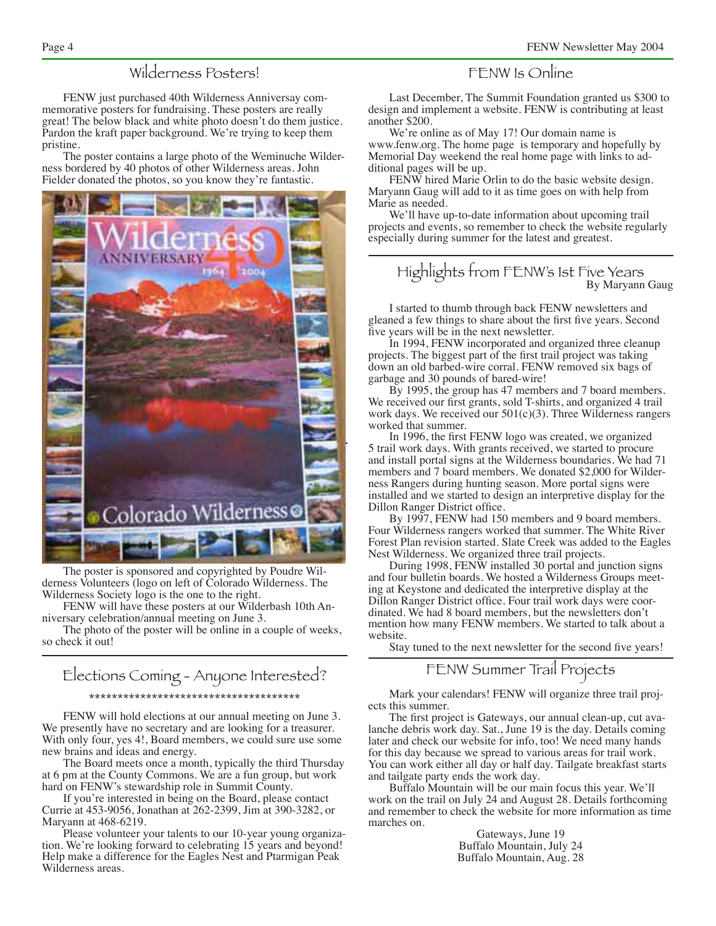# Wilderness Posters!

FENW just purchased 40th Wilderness Anniversay commemorative posters for fundraising. These posters are really great! The below black and white photo doesn't do them justice. Pardon the kraft paper background. We're trying to keep them pristine.

The poster contains a large photo of the Weminuche Wilderness bordered by 40 photos of other Wilderness areas. John Fielder donated the photos, so you know they're fantastic.



The poster is sponsored and copyrighted by Poudre Wilderness Volunteers (logo on left of Colorado Wilderness. The Wilderness Society logo is the one to the right.

FENW will have these posters at our Wilderbash 10th Anniversary celebration/annual meeting on June 3.

The photo of the poster will be online in a couple of weeks, so check it out!

### Elections Coming - Anyone Interested? \*\*\*\*\*\*\*\*\*\*\*\*\*\*\*\*\*\*\*\*\*\*\*\*\*\*\*\*\*\*\*\*\*\*\*\*\*

FENW will hold elections at our annual meeting on June 3. We presently have no secretary and are looking for a treasurer. With only four, yes 4!, Board members, we could sure use some new brains and ideas and energy.

The Board meets once a month, typically the third Thursday at 6 pm at the County Commons. We are a fun group, but work hard on FENW's stewardship role in Summit County.

If you're interested in being on the Board, please contact Currie at 453-9056, Jonathan at 262-2399, Jim at 390-3282, or Maryann at 468-6219.

Please volunteer your talents to our 10-year young organization. We're looking forward to celebrating 15 years and beyond! Help make a difference for the Eagles Nest and Ptarmigan Peak Wilderness areas.

### FENW Is Online

Last December, The Summit Foundation granted us \$300 to design and implement a website. FENW is contributing at least another \$200.

We're online as of May 17! Our domain name is www.fenw.org. The home page is temporary and hopefully by Memorial Day weekend the real home page with links to additional pages will be up.

FENW hired Marie Orlin to do the basic website design. Maryann Gaug will add to it as time goes on with help from Marie as needed.

We'll have up-to-date information about upcoming trail projects and events, so remember to check the website regularly especially during summer for the latest and greatest.

# Highlights from FENW's 1st Five Years<br>By Maryann Gaug

I started to thumb through back FENW newsletters and gleaned a few things to share about the first five years. Second five years will be in the next newsletter.

In 1994, FENW incorporated and organized three cleanup projects. The biggest part of the first trail project was taking down an old barbed-wire corral. FENW removed six bags of garbage and 30 pounds of bared-wire!

By 1995, the group has 47 members and 7 board members. We received our first grants, sold T-shirts, and organized 4 trail work days. We received our 501(c)(3). Three Wilderness rangers worked that summer.

In 1996, the first FENW logo was created, we organized 5 trail work days. With grants received, we started to procure and install portal signs at the Wilderness boundaries. We had 71 members and 7 board members. We donated \$2,000 for Wilderness Rangers during hunting season. More portal signs were installed and we started to design an interpretive display for the Dillon Ranger District office.

By 1997, FENW had 150 members and 9 board members. Four Wilderness rangers worked that summer. The White River Forest Plan revision started. Slate Creek was added to the Eagles Nest Wilderness. We organized three trail projects.

During 1998, FENW installed 30 portal and junction signs and four bulletin boards. We hosted a Wilderness Groups meeting at Keystone and dedicated the interpretive display at the Dillon Ranger District office. Four trail work days were coordinated. We had 8 board members, but the newsletters don't mention how many FENW members. We started to talk about a website.

Stay tuned to the next newsletter for the second five years!

## FENW Summer Trail Projects

Mark your calendars! FENW will organize three trail projects this summer.

The first project is Gateways, our annual clean-up, cut avalanche debris work day. Sat., June 19 is the day. Details coming later and check our website for info, too! We need many hands for this day because we spread to various areas for trail work. You can work either all day or half day. Tailgate breakfast starts and tailgate party ends the work day.

Buffalo Mountain will be our main focus this year. We'll work on the trail on July 24 and August 28. Details forthcoming and remember to check the website for more information as time marches on.

> Gateways, June 19 Buffalo Mountain, July 24 Buffalo Mountain, Aug. 28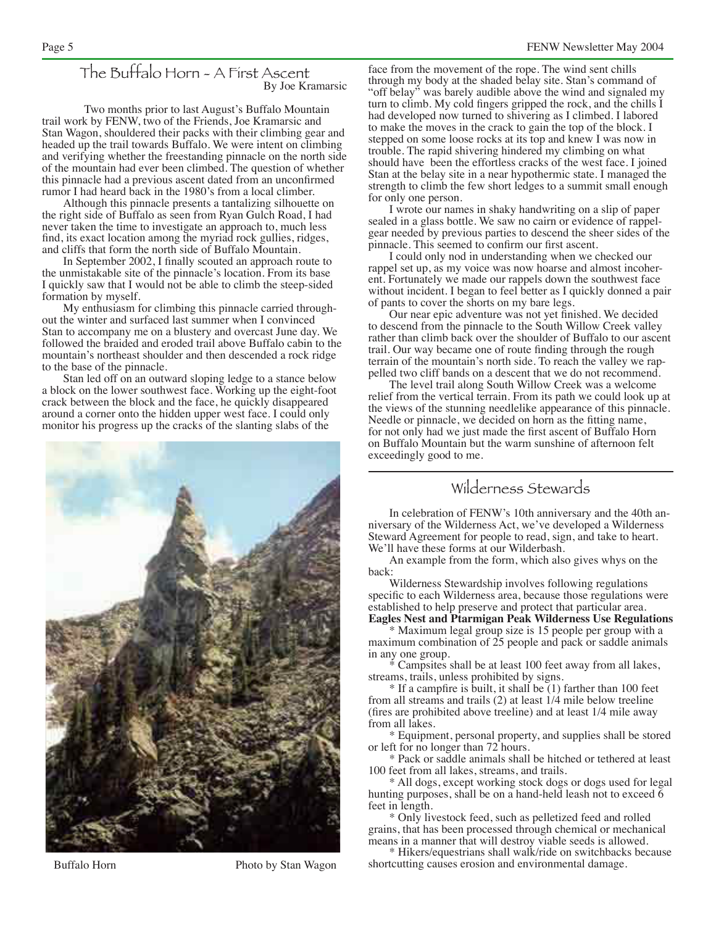### The Buffalo Horn - A First Ascent By Joe Kramarsic

Two months prior to last August's Buffalo Mountain trail work by FENW, two of the Friends, Joe Kramarsic and Stan Wagon, shouldered their packs with their climbing gear and headed up the trail towards Buffalo. We were intent on climbing and verifying whether the freestanding pinnacle on the north side of the mountain had ever been climbed. The question of whether this pinnacle had a previous ascent dated from an unconfirmed rumor I had heard back in the 1980's from a local climber.

Although this pinnacle presents a tantalizing silhouette on the right side of Buffalo as seen from Ryan Gulch Road, I had never taken the time to investigate an approach to, much less find, its exact location among the myriad rock gullies, ridges, and cliffs that form the north side of Buffalo Mountain.

In September 2002, I finally scouted an approach route to the unmistakable site of the pinnacle's location. From its base I quickly saw that I would not be able to climb the steep-sided formation by myself.

My enthusiasm for climbing this pinnacle carried throughout the winter and surfaced last summer when I convinced Stan to accompany me on a blustery and overcast June day. We followed the braided and eroded trail above Buffalo cabin to the mountain's northeast shoulder and then descended a rock ridge to the base of the pinnacle.

Stan led off on an outward sloping ledge to a stance below a block on the lower southwest face. Working up the eight-foot crack between the block and the face, he quickly disappeared around a corner onto the hidden upper west face. I could only monitor his progress up the cracks of the slanting slabs of the



Buffalo Horn Photo by Stan Wagon

face from the movement of the rope. The wind sent chills through my body at the shaded belay site. Stan's command of "off belay" was barely audible above the wind and signaled my turn to climb. My cold fingers gripped the rock, and the chills I had developed now turned to shivering as I climbed. I labored to make the moves in the crack to gain the top of the block. I stepped on some loose rocks at its top and knew I was now in trouble. The rapid shivering hindered my climbing on what should have been the effortless cracks of the west face. I joined Stan at the belay site in a near hypothermic state. I managed the strength to climb the few short ledges to a summit small enough for only one person.

I wrote our names in shaky handwriting on a slip of paper sealed in a glass bottle. We saw no cairn or evidence of rappelgear needed by previous parties to descend the sheer sides of the pinnacle. This seemed to confirm our first ascent.

I could only nod in understanding when we checked our rappel set up, as my voice was now hoarse and almost incoherent. Fortunately we made our rappels down the southwest face without incident. I began to feel better as I quickly donned a pair of pants to cover the shorts on my bare legs.

Our near epic adventure was not yet finished. We decided to descend from the pinnacle to the South Willow Creek valley rather than climb back over the shoulder of Buffalo to our ascent trail. Our way became one of route finding through the rough terrain of the mountain's north side. To reach the valley we rappelled two cliff bands on a descent that we do not recommend.

The level trail along South Willow Creek was a welcome relief from the vertical terrain. From its path we could look up at the views of the stunning needlelike appearance of this pinnacle. Needle or pinnacle, we decided on horn as the fitting name, for not only had we just made the first ascent of Buffalo Horn on Buffalo Mountain but the warm sunshine of afternoon felt exceedingly good to me.

# Wilderness Stewards

In celebration of FENW's 10th anniversary and the 40th anniversary of the Wilderness Act, we've developed a Wilderness Steward Agreement for people to read, sign, and take to heart. We'll have these forms at our Wilderbash.

An example from the form, which also gives whys on the back:

Wilderness Stewardship involves following regulations specific to each Wilderness area, because those regulations were established to help preserve and protect that particular area. **Eagles Nest and Ptarmigan Peak Wilderness Use Regulations**

\* Maximum legal group size is 15 people per group with a maximum combination of 25 people and pack or saddle animals in any one group.

\* Campsites shall be at least 100 feet away from all lakes, streams, trails, unless prohibited by signs.

\* If a campfire is built, it shall be (1) farther than 100 feet from all streams and trails (2) at least 1/4 mile below treeline (fires are prohibited above treeline) and at least 1/4 mile away from all lakes.

\* Equipment, personal property, and supplies shall be stored or left for no longer than 72 hours.

\* Pack or saddle animals shall be hitched or tethered at least 100 feet from all lakes, streams, and trails.

\* All dogs, except working stock dogs or dogs used for legal hunting purposes, shall be on a hand-held leash not to exceed 6 feet in length.

\* Only livestock feed, such as pelletized feed and rolled grains, that has been processed through chemical or mechanical means in a manner that will destroy viable seeds is allowed.

\* Hikers/equestrians shall walk/ride on switchbacks because shortcutting causes erosion and environmental damage.